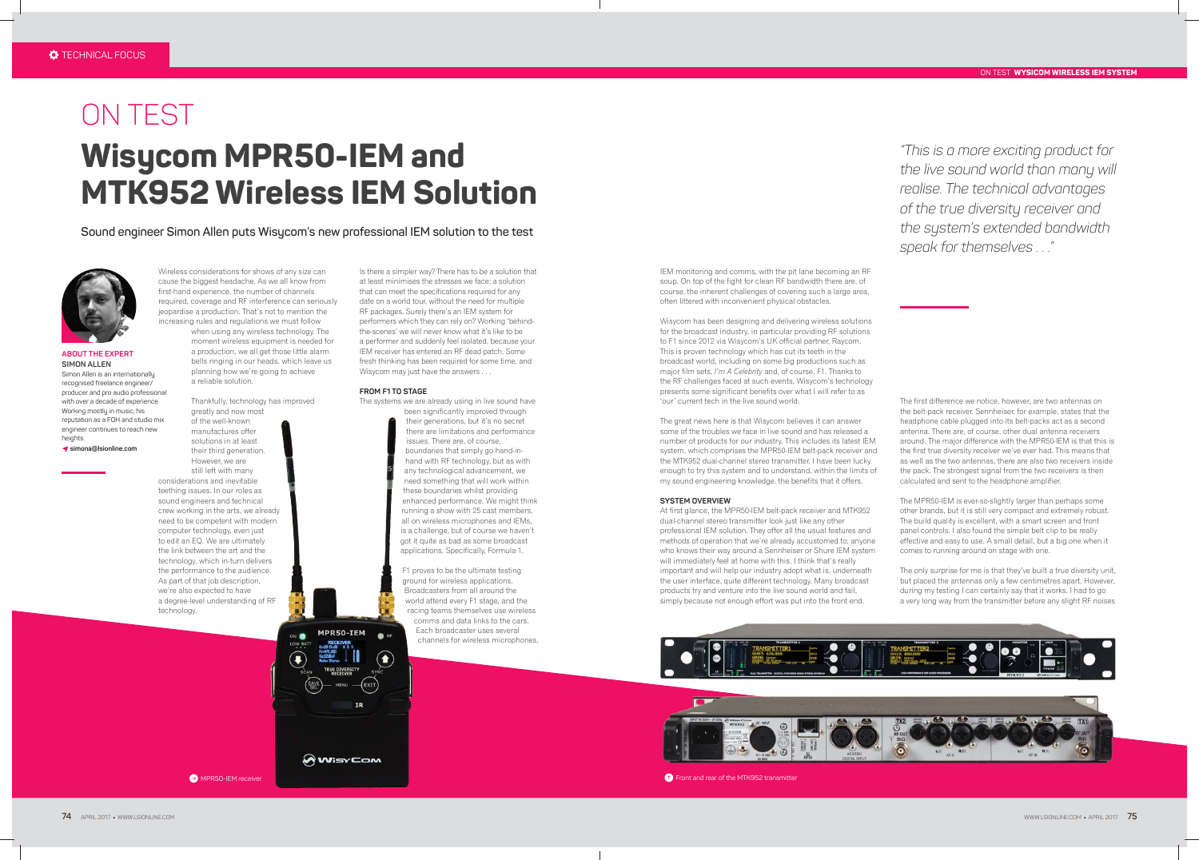# ON TEST **WYSICOM WIRELESS IEM SYSTEM**

**ABOUT THE EXPERT SIMON ALLEN** Simon Allen is an internationally recognised freelance engineer/ producer and pro audio professional with over a decade of experience. Working mostly in music, his reputation as a FOH and studio mix engineer continues to reach new heights.

# ON TEST **Wisycom MPR50-IEM and MTK952 Wireless IEM Solution**

**Sound engineer Simon Allen puts Wisycom's new professional IEM solution to the test**



P **simona@lsionline.com**

IEM monitoring and comms, with the pit lane becoming an RF soup. On top of the fight for clean RF bandwidth there are, of course, the inherent challenges of covering such a large area, often littered with inconvenient physical obstacles.

Wisycom has been designing and delivering wireless solutions for the broadcast industry, in particular providing RF solutions to F1 since 2012 via Wisycom's UK official partner, Raycom. This is proven technology which has cut its teeth in the broadcast world, including on some big productions such as major film sets, *I'm A Celebrity* and, of course, F1. Thanks to the RF challenges faced at such events, Wisycom's technology presents some significant benefits over what I will refer to as 'our' current tech in the live sound world.

The great news here is that Wisycom believes it can answer some of the troubles we face in live sound and has released a number of products for our industry. This includes its latest IEM system, which comprises the MPR50-IEM belt-pack receiver and the MTK952 dual-channel stereo transmitter. I have been lucky enough to try this system and to understand, within the limits of my sound engineering knowledge, the benefits that it offers.

### **SYSTEM OVERVIEW**

At first glance, the MPR50-IEM belt-pack receiver and MTK952 dual-channel stereo transmitter look just like any other professional IEM solution. They offer all the usual features and methods of operation that we're already accustomed to; anyone who knows their way around a Sennheiser or Shure IEM system will immediately feel at home with this. I think that's really important and will help our industry adopt what is, underneath the user interface, quite different technology. Many broadcast products try and venture into the live sound world and fail, simply because not enough effort was put into the front end.





C MPR50-IEM receiver B Front and rear of the MTK952 transmitte

**AWISYCOM** 

*"This is a more exciting product for the live sound world than many will realise. The technical advantages of the true diversity receiver and the system's extended bandwidth speak for themselves . . ."*

Wireless considerations for shows of any size can cause the biggest headache. As we all know from first-hand experience, the number of channels required, coverage and RF interference can seriously jeopardise a production. That's not to mention the increasing rules and regulations we must follow

> when using any wireless technology. The moment wireless equipment is needed for a production, we all get those little alarm bells ringing in our heads, which leave us planning how we're going to achieve a reliable solution.

Thankfully, technology has improved greatly and now most of the well-known manufactures offer solutions in at least their third generation. However, we are still left with many considerations and inevitable teething issues. In our roles as sound engineers and technical crew working in the arts, we already need to be competent with modern computer technology, even just to edit an EQ. We are ultimately the link between the art and the technology, which in-turn delivers the performance to the audience. As part of that job description, we're also expected to have a degree-level understanding of RF technology.

Is there a simpler way? There has to be a solution that at least minimises the stresses we face; a solution that can meet the specifications required for any date on a world tour, without the need for multiple RF packages. Surely there's an IEM system for performers which they can rely on? Working 'behindthe-scenes' we will never know what it's like to be a performer and suddenly feel isolated, because your IEM receiver has entered an RF dead patch. Some fresh thinking has been required for some time, and Wisycom may just have the answers . . .

# **FROM F1 TO STAGE**

The systems we are already using in live sound have

been significantly improved through their generations, but it's no secret there are limitations and performance issues. There are, of course, boundaries that simply go hand-inhand with RF technology, but as with any technological advancement, we need something that will work within these boundaries whilst providing enhanced performance. We might think running a show with 25 cast members, all on wireless microphones and IEMs, is a challenge, but of course we haven't got it quite as bad as some broadcast applications. Specifically, Formula 1.

F1 proves to be the ultimate testing ground for wireless applications. Broadcasters from all around the world attend every F1 stage, and the racing teams themselves use wireless comms and data links to the cars. Each broadcaster uses several channels for wireless microphones,

The first difference we notice, however, are two antennas on the belt-pack receiver. Sennheiser, for example, states that the headphone cable plugged into its belt-packs act as a second antenna. There are, of course, other dual antenna receivers around. The major difference with the MPR50-IEM is that this is the first true diversity receiver we've ever had. This means that as well as the two antennas, there are also two receivers inside the pack. The strongest signal from the two receivers is then calculated and sent to the headphone amplifier.

The MPR50-IEM is ever-so-slightly larger than perhaps some other brands, but it is still very compact and extremely robust. The build quality is excellent, with a smart screen and front panel controls. I also found the simple belt clip to be really effective and easy to use. A small detail, but a big one when it comes to running around on stage with one.

The only surprise for me is that they've built a true diversity unit, but placed the antennas only a few centimetres apart. However, during my testing I can certainly say that it works. I had to go a very long way from the transmitter before any slight RF noises